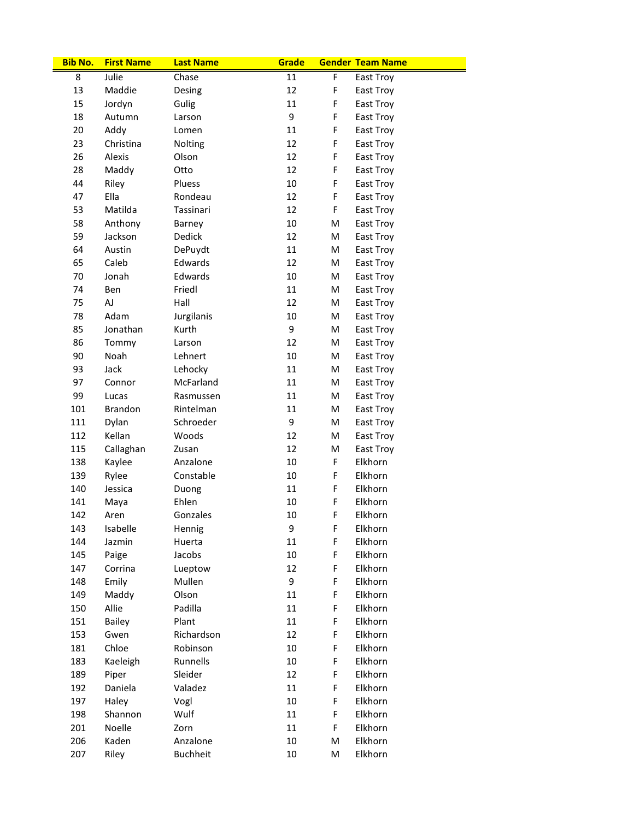| <b>Bib No.</b> | <b>First Name</b> | <b>Last Name</b> | Grade  |   | <b>Gender Team Name</b> |
|----------------|-------------------|------------------|--------|---|-------------------------|
| 8              | Julie             | Chase            | 11     | F | East Troy               |
| 13             | Maddie            | Desing           | 12     | F | East Troy               |
| 15             | Jordyn            | Gulig            | 11     | F | East Troy               |
| 18             | Autumn            | Larson           | 9      | F | East Troy               |
| 20             | Addy              | Lomen            | 11     | F | East Troy               |
| 23             | Christina         | Nolting          | 12     | F | East Troy               |
| 26             | Alexis            | Olson            | 12     | F | East Troy               |
| 28             | Maddy             | Otto             | 12     | F | East Troy               |
| 44             | Riley             | Pluess           | 10     | F | East Troy               |
| 47             | Ella              | Rondeau          | 12     | F | East Troy               |
| 53             | Matilda           | Tassinari        | 12     | F | East Troy               |
| 58             | Anthony           | Barney           | 10     | M | East Troy               |
| 59             | Jackson           | Dedick           | 12     | M | East Troy               |
| 64             | Austin            | DePuydt          | 11     | M | East Troy               |
| 65             | Caleb             | Edwards          | 12     | M | East Troy               |
| 70             | Jonah             | Edwards          | 10     | M | East Troy               |
| 74             | Ben               | Friedl           | 11     | M | East Troy               |
| 75             | AJ                | Hall             | 12     | M | East Troy               |
| 78             | Adam              | Jurgilanis       | 10     | M | East Troy               |
| 85             | Jonathan          | Kurth            | 9      | M | East Troy               |
| 86             | Tommy             | Larson           | 12     | M | East Troy               |
| 90             | Noah              | Lehnert          | 10     | M | East Troy               |
| 93             | Jack              | Lehocky          | 11     | M | East Troy               |
| 97             | Connor            | <b>McFarland</b> | 11     | M | East Troy               |
| 99             | Lucas             | Rasmussen        | 11     | M | East Troy               |
| 101            | Brandon           | Rintelman        | 11     | M | East Troy               |
| 111            | Dylan             | Schroeder        | 9      | M | East Troy               |
| 112            | Kellan            | Woods            | 12     | M | East Troy               |
| 115            | Callaghan         | Zusan            | 12     | M | East Troy               |
| 138            | Kaylee            | Anzalone         | 10     | F | Elkhorn                 |
| 139            | Rylee             | Constable        | 10     | F | Elkhorn                 |
| 140            | Jessica           | Duong            | 11     | F | Elkhorn                 |
| 141            | Maya              | Ehlen            | 10     | F | Elkhorn                 |
| 142            | Aren              | Gonzales         | $10\,$ | F | Elkhorn                 |
| 143            | Isabelle          | Hennig           | 9      | F | Elkhorn                 |
| 144            | Jazmin            | Huerta           | 11     | F | Elkhorn                 |
| 145            | Paige             | Jacobs           | 10     | F | Elkhorn                 |
| 147            | Corrina           | Lueptow          | 12     | F | Elkhorn                 |
| 148            | Emily             | Mullen           | 9      | F | Elkhorn                 |
| 149            | Maddy             | Olson            | 11     | F | Elkhorn                 |
| 150            | Allie             | Padilla          | 11     | F | Elkhorn                 |
| 151            | <b>Bailey</b>     | Plant            | 11     | F | Elkhorn                 |
| 153            | Gwen              | Richardson       | 12     | F | Elkhorn                 |
| 181            | Chloe             | Robinson         | 10     | F | Elkhorn                 |
| 183            | Kaeleigh          | Runnells         | 10     | F | Elkhorn                 |
| 189            | Piper             | Sleider          | 12     | F | Elkhorn                 |
| 192            | Daniela           | Valadez          | 11     | F | Elkhorn                 |
| 197            | Haley             | Vogl             | 10     | F | Elkhorn                 |
| 198            | Shannon           | Wulf             | 11     | F | Elkhorn                 |
| 201            | Noelle            | Zorn             | 11     | F | Elkhorn                 |
| 206            | Kaden             | Anzalone         | 10     | M | Elkhorn                 |
| 207            | Riley             | <b>Buchheit</b>  | 10     | M | Elkhorn                 |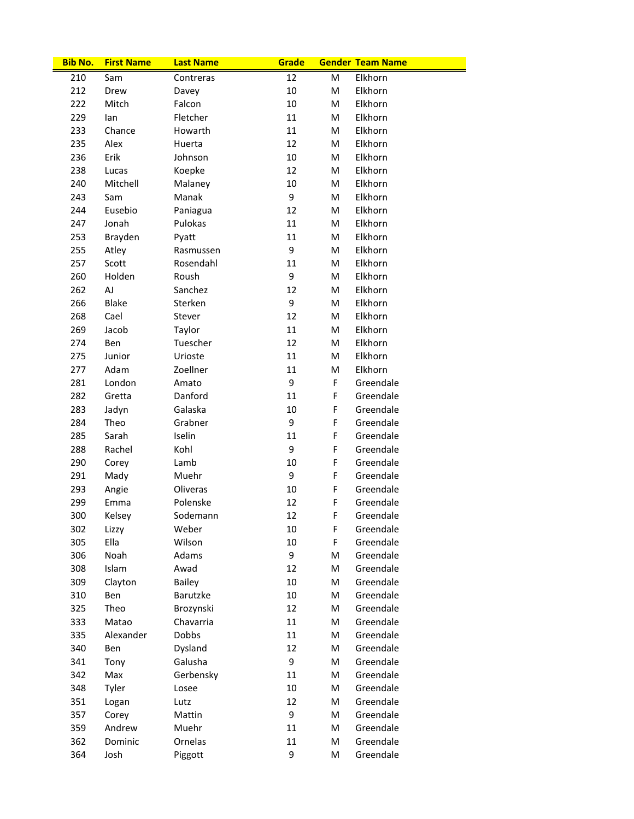| <b>Bib No.</b> | <b>First Name</b> | <b>Last Name</b> | Grade |    | <b>Gender Team Name</b> |
|----------------|-------------------|------------------|-------|----|-------------------------|
| 210            | Sam               | Contreras        | 12    | M  | Elkhorn                 |
| 212            | Drew              | Davey            | 10    | M  | Elkhorn                 |
| 222            | Mitch             | Falcon           | 10    | M  | Elkhorn                 |
| 229            | lan               | Fletcher         | 11    | м  | Elkhorn                 |
| 233            | Chance            | Howarth          | 11    | M  | Elkhorn                 |
| 235            | Alex              | Huerta           | 12    | M  | Elkhorn                 |
| 236            | Erik              | Johnson          | 10    | M  | Elkhorn                 |
| 238            | Lucas             | Koepke           | 12    | M  | Elkhorn                 |
| 240            | Mitchell          | Malaney          | 10    | M  | Elkhorn                 |
| 243            | Sam               | Manak            | 9     | M  | Elkhorn                 |
| 244            | Eusebio           | Paniagua         | 12    | м  | Elkhorn                 |
| 247            | Jonah             | Pulokas          | 11    | M  | Elkhorn                 |
| 253            | Brayden           | Pyatt            | 11    | M  | Elkhorn                 |
| 255            | Atley             | Rasmussen        | 9     | M  | Elkhorn                 |
| 257            | Scott             | Rosendahl        | 11    | M  | Elkhorn                 |
| 260            | Holden            | Roush            | 9     | M  | Elkhorn                 |
| 262            | AJ                | Sanchez          | 12    | M  | Elkhorn                 |
| 266            | <b>Blake</b>      | Sterken          | 9     | м  | Elkhorn                 |
| 268            | Cael              | Stever           | 12    | M  | Elkhorn                 |
| 269            | Jacob             | Taylor           | 11    | M  | Elkhorn                 |
| 274            | Ben               | Tuescher         | 12    | M  | Elkhorn                 |
| 275            | Junior            | Urioste          | 11    | M  | Elkhorn                 |
| 277            | Adam              | Zoellner         | 11    | M  | Elkhorn                 |
| 281            | London            | Amato            | 9     | F  | Greendale               |
| 282            | Gretta            | Danford          | 11    | F  | Greendale               |
| 283            | Jadyn             | Galaska          | 10    | F  | Greendale               |
| 284            | Theo              | Grabner          | 9     | F  | Greendale               |
| 285            | Sarah             | Iselin           | 11    | F  | Greendale               |
| 288            | Rachel            | Kohl             | 9     | F  | Greendale               |
| 290            | Corey             | Lamb             | 10    | F  | Greendale               |
| 291            | Mady              | Muehr            | 9     | F  | Greendale               |
| 293            | Angie             | Oliveras         | 10    | F  | Greendale               |
| 299            | Emma              | Polenske         | 12    | F  | Greendale               |
| 300            |                   |                  | 12    | F. | Greendale               |
|                | Kelsey            | Sodemann         | 10    | F  |                         |
| 302<br>305     | Lizzy<br>Ella     | Weber<br>Wilson  | 10    | F  | Greendale<br>Greendale  |
| 306            | Noah              | Adams            | 9     | M  | Greendale               |
|                |                   |                  |       |    |                         |
| 308            | Islam             | Awad             | 12    | M  | Greendale               |
| 309            | Clayton           | Bailey           | 10    | Μ  | Greendale               |
| 310            | Ben               | Barutzke         | 10    | М  | Greendale               |
| 325            | Theo              | Brozynski        | 12    | Μ  | Greendale               |
| 333            | Matao             | Chavarria        | 11    | М  | Greendale               |
| 335            | Alexander         | <b>Dobbs</b>     | 11    | Μ  | Greendale               |
| 340            | Ben               | Dysland          | 12    | M  | Greendale               |
| 341            | Tony              | Galusha          | 9     | М  | Greendale               |
| 342            | Max               | Gerbensky        | 11    | М  | Greendale               |
| 348            | Tyler             | Losee            | 10    | М  | Greendale               |
| 351            | Logan             | Lutz             | 12    | Μ  | Greendale               |
| 357            | Corey             | Mattin           | 9     | М  | Greendale               |
| 359            | Andrew            | Muehr            | 11    | Μ  | Greendale               |
| 362            | Dominic           | Ornelas          | 11    | M  | Greendale               |
| 364            | Josh              | Piggott          | 9     | M  | Greendale               |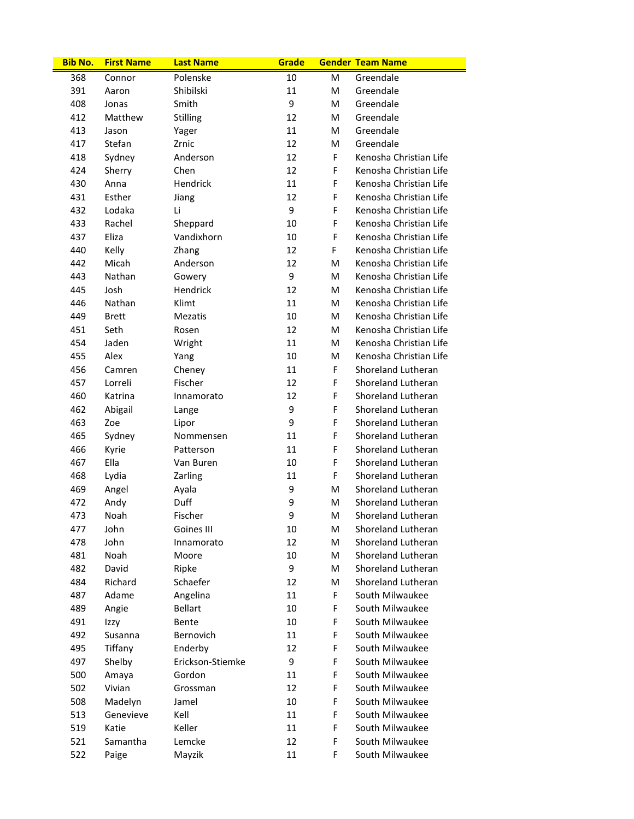| <b>Bib No.</b> | <b>First Name</b> | <b>Last Name</b> | Grade |    | <b>Gender Team Name</b> |
|----------------|-------------------|------------------|-------|----|-------------------------|
| 368            | Connor            | Polenske         | 10    | M  | Greendale               |
| 391            | Aaron             | Shibilski        | 11    | M  | Greendale               |
| 408            | Jonas             | Smith            | 9     | M  | Greendale               |
| 412            | Matthew           | Stilling         | 12    | M  | Greendale               |
| 413            | Jason             | Yager            | 11    | M  | Greendale               |
| 417            | Stefan            | Zrnic            | 12    | M  | Greendale               |
| 418            | Sydney            | Anderson         | 12    | F  | Kenosha Christian Life  |
| 424            | Sherry            | Chen             | 12    | F  | Kenosha Christian Life  |
| 430            | Anna              | Hendrick         | 11    | F  | Kenosha Christian Life  |
| 431            | Esther            | Jiang            | 12    | F  | Kenosha Christian Life  |
| 432            | Lodaka            | Li               | 9     | F  | Kenosha Christian Life  |
| 433            | Rachel            | Sheppard         | 10    | F  | Kenosha Christian Life  |
| 437            | Eliza             | Vandixhorn       | 10    | F  | Kenosha Christian Life  |
| 440            | Kelly             | Zhang            | 12    | F  | Kenosha Christian Life  |
| 442            | Micah             | Anderson         | 12    | М  | Kenosha Christian Life  |
| 443            | Nathan            | Gowery           | 9     | M  | Kenosha Christian Life  |
| 445            | Josh              | Hendrick         | 12    | M  | Kenosha Christian Life  |
| 446            | Nathan            | Klimt            | 11    | M  | Kenosha Christian Life  |
| 449            | <b>Brett</b>      | <b>Mezatis</b>   | 10    | M  | Kenosha Christian Life  |
| 451            | Seth              | Rosen            | 12    | M  | Kenosha Christian Life  |
| 454            | Jaden             | Wright           | 11    | M  | Kenosha Christian Life  |
| 455            | Alex              | Yang             | 10    | м  | Kenosha Christian Life  |
| 456            | Camren            | Cheney           | 11    | F. | Shoreland Lutheran      |
| 457            | Lorreli           | Fischer          | 12    | F. | Shoreland Lutheran      |
| 460            | Katrina           | Innamorato       | 12    | F  | Shoreland Lutheran      |
| 462            | Abigail           | Lange            | 9     | F  | Shoreland Lutheran      |
| 463            | Zoe               | Lipor            | 9     | F  | Shoreland Lutheran      |
| 465            | Sydney            | Nommensen        | 11    | F  | Shoreland Lutheran      |
| 466            | Kyrie             | Patterson        | 11    | F  | Shoreland Lutheran      |
| 467            | Ella              | Van Buren        | 10    | F  | Shoreland Lutheran      |
| 468            | Lydia             | Zarling          | 11    | F  | Shoreland Lutheran      |
| 469            | Angel             | Ayala            | 9     | M  | Shoreland Lutheran      |
| 472            | Andy              | Duff             | 9     | M  | Shoreland Lutheran      |
| 473            | Noah              | Fischer          | 9     | М  | Shoreland Lutheran      |
| 477            | John              | Goines III       | 10    | M  | Shoreland Lutheran      |
| 478            | John              | Innamorato       | 12    | M  | Shoreland Lutheran      |
| 481            | Noah              | Moore            | 10    | M  | Shoreland Lutheran      |
| 482            | David             | Ripke            | 9     | M  | Shoreland Lutheran      |
| 484            | Richard           | Schaefer         | 12    | M  | Shoreland Lutheran      |
| 487            | Adame             | Angelina         | 11    | F  | South Milwaukee         |
| 489            | Angie             | <b>Bellart</b>   | 10    | F  | South Milwaukee         |
| 491            | Izzy              | Bente            | 10    | F  | South Milwaukee         |
| 492            | Susanna           | Bernovich        | 11    | F  | South Milwaukee         |
| 495            | Tiffany           | Enderby          | 12    | F  | South Milwaukee         |
| 497            | Shelby            | Erickson-Stiemke | 9     | F  | South Milwaukee         |
| 500            | Amaya             | Gordon           | 11    | F  | South Milwaukee         |
| 502            | Vivian            | Grossman         | 12    | F  | South Milwaukee         |
| 508            | Madelyn           | Jamel            | 10    | F  | South Milwaukee         |
| 513            | Genevieve         | Kell             | 11    | F  | South Milwaukee         |
| 519            | Katie             | Keller           | 11    | F  | South Milwaukee         |
| 521            | Samantha          | Lemcke           | 12    | F  | South Milwaukee         |
| 522            | Paige             | Mayzik           | 11    | F  | South Milwaukee         |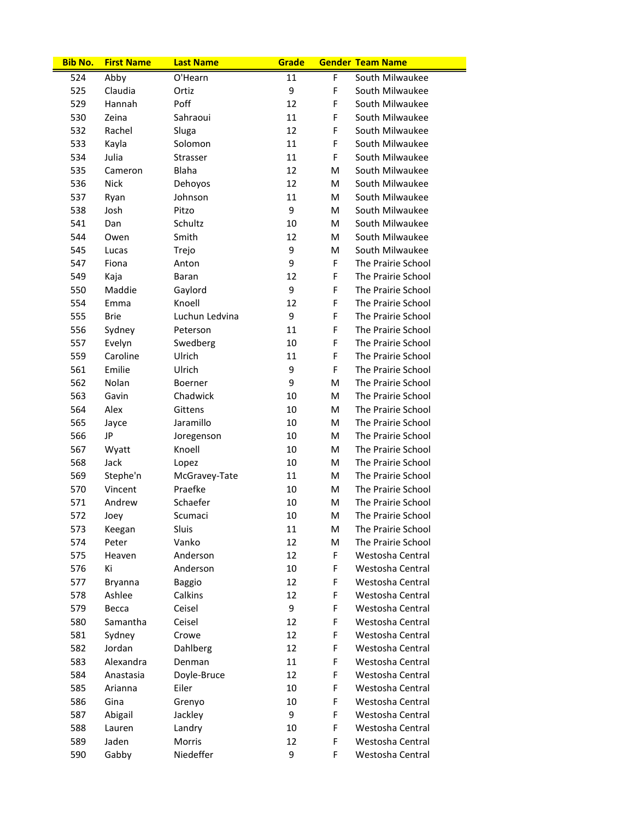| <b>Bib No.</b> | <b>First Name</b> | <b>Last Name</b> | Grade  |   | <b>Gender Team Name</b> |
|----------------|-------------------|------------------|--------|---|-------------------------|
| 524            | Abby              | O'Hearn          | 11     | F | South Milwaukee         |
| 525            | Claudia           | Ortiz            | 9      | F | South Milwaukee         |
| 529            | Hannah            | Poff             | 12     | F | South Milwaukee         |
| 530            | Zeina             | Sahraoui         | 11     | F | South Milwaukee         |
| 532            | Rachel            | Sluga            | 12     | F | South Milwaukee         |
| 533            | Kayla             | Solomon          | 11     | F | South Milwaukee         |
| 534            | Julia             | Strasser         | 11     | F | South Milwaukee         |
| 535            | Cameron           | <b>Blaha</b>     | 12     | М | South Milwaukee         |
| 536            | <b>Nick</b>       | Dehoyos          | 12     | м | South Milwaukee         |
| 537            | Ryan              | Johnson          | 11     | M | South Milwaukee         |
| 538            | Josh              | Pitzo            | 9      | м | South Milwaukee         |
| 541            | Dan               | Schultz          | 10     | M | South Milwaukee         |
| 544            | Owen              | Smith            | 12     | М | South Milwaukee         |
| 545            | Lucas             | Trejo            | 9      | M | South Milwaukee         |
| 547            | Fiona             | Anton            | 9      | F | The Prairie School      |
| 549            | Kaja              | Baran            | 12     | F | The Prairie School      |
| 550            | Maddie            | Gaylord          | 9      | F | The Prairie School      |
| 554            | Emma              | Knoell           | 12     | F | The Prairie School      |
| 555            | <b>Brie</b>       | Luchun Ledvina   | 9      | F | The Prairie School      |
| 556            | Sydney            | Peterson         | 11     | F | The Prairie School      |
| 557            | Evelyn            | Swedberg         | 10     | F | The Prairie School      |
| 559            | Caroline          | Ulrich           | 11     | F | The Prairie School      |
| 561            | Emilie            | Ulrich           | 9      | F | The Prairie School      |
| 562            | Nolan             | Boerner          | 9      | M | The Prairie School      |
| 563            | Gavin             | Chadwick         | 10     | М | The Prairie School      |
| 564            | Alex              | Gittens          | 10     | M | The Prairie School      |
| 565            | Jayce             | Jaramillo        | 10     | М | The Prairie School      |
| 566            | JP                | Joregenson       | 10     | М | The Prairie School      |
| 567            | Wyatt             | Knoell           | 10     | М | The Prairie School      |
| 568            | Jack              | Lopez            | 10     | М | The Prairie School      |
| 569            | Stephe'n          | McGravey-Tate    | 11     | М | The Prairie School      |
| 570            | Vincent           | Praefke          | 10     | М | The Prairie School      |
| 571            | Andrew            | Schaefer         | 10     | M | The Prairie School      |
| 572            | Joey              | Scumaci          | $10\,$ | M | The Prairie School      |
| 573            | Keegan            | Sluis            | 11     | М | The Prairie School      |
| 574            | Peter             | Vanko            | 12     | M | The Prairie School      |
| 575            | Heaven            | Anderson         | 12     | F | Westosha Central        |
| 576            | Κi                | Anderson         | 10     | F | Westosha Central        |
| 577            | Bryanna           | <b>Baggio</b>    | 12     | F | Westosha Central        |
| 578            | Ashlee            | Calkins          | 12     | F | Westosha Central        |
| 579            | Becca             | Ceisel           | 9      | F | Westosha Central        |
| 580            | Samantha          | Ceisel           | 12     | F | Westosha Central        |
| 581            | Sydney            | Crowe            | 12     | F | Westosha Central        |
| 582            | Jordan            | Dahlberg         | 12     | F | Westosha Central        |
| 583            | Alexandra         | Denman           | 11     | F | Westosha Central        |
| 584            | Anastasia         | Doyle-Bruce      | 12     | F | Westosha Central        |
| 585            | Arianna           | Eiler            | 10     | F | Westosha Central        |
| 586            | Gina              | Grenyo           | 10     | F | Westosha Central        |
| 587            | Abigail           | Jackley          | 9      | F | Westosha Central        |
| 588            | Lauren            | Landry           | 10     | F | Westosha Central        |
| 589            | Jaden             | Morris           | 12     | F | Westosha Central        |
| 590            | Gabby             | Niedeffer        | 9      | F | Westosha Central        |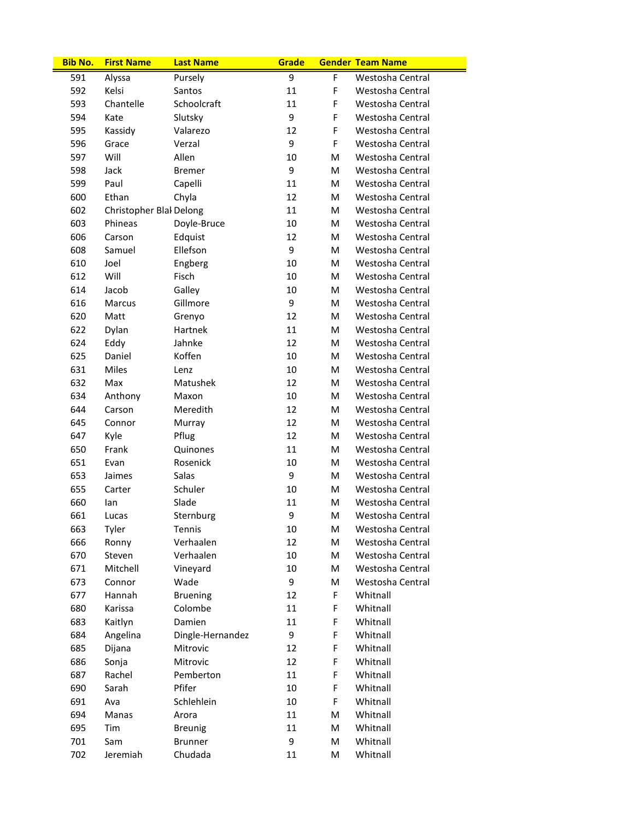| <b>Bib No.</b> | <b>First Name</b>       | <b>Last Name</b> | Grade |   | <b>Gender Team Name</b> |
|----------------|-------------------------|------------------|-------|---|-------------------------|
| 591            | Alyssa                  | Pursely          | 9     | F | Westosha Central        |
| 592            | Kelsi                   | Santos           | 11    | F | Westosha Central        |
| 593            | Chantelle               | Schoolcraft      | 11    | F | Westosha Central        |
| 594            | Kate                    | Slutsky          | 9     | F | Westosha Central        |
| 595            | Kassidy                 | Valarezo         | 12    | F | Westosha Central        |
| 596            | Grace                   | Verzal           | 9     | F | Westosha Central        |
| 597            | Will                    | Allen            | 10    | М | Westosha Central        |
| 598            | Jack                    | <b>Bremer</b>    | 9     | м | Westosha Central        |
| 599            | Paul                    | Capelli          | 11    | M | Westosha Central        |
| 600            | Ethan                   | Chyla            | 12    | м | Westosha Central        |
| 602            | Christopher Blal Delong |                  | 11    | м | Westosha Central        |
| 603            | Phineas                 | Doyle-Bruce      | 10    | М | Westosha Central        |
| 606            | Carson                  | Edquist          | 12    | М | Westosha Central        |
| 608            | Samuel                  | Ellefson         | 9     | М | Westosha Central        |
| 610            | Joel                    | Engberg          | 10    | м | Westosha Central        |
| 612            | Will                    | Fisch            | 10    | м | Westosha Central        |
| 614            | Jacob                   | Galley           | 10    | м | Westosha Central        |
| 616            | Marcus                  | Gillmore         | 9     | M | Westosha Central        |
| 620            | Matt                    | Grenyo           | 12    | м | Westosha Central        |
| 622            | Dylan                   | Hartnek          | 11    | м | Westosha Central        |
| 624            | Eddy                    | Jahnke           | 12    | М | Westosha Central        |
| 625            | Daniel                  | Koffen           | 10    | М | Westosha Central        |
| 631            | Miles                   | Lenz             | 10    | М | Westosha Central        |
| 632            | Max                     | Matushek         | 12    | м | Westosha Central        |
| 634            | Anthony                 | Maxon            | 10    | м | Westosha Central        |
| 644            | Carson                  | Meredith         | 12    | м | Westosha Central        |
| 645            | Connor                  | Murray           | 12    | М | Westosha Central        |
| 647            | Kyle                    | Pflug            | 12    | М | Westosha Central        |
| 650            | Frank                   | Quinones         | 11    | M | Westosha Central        |
| 651            | Evan                    | Rosenick         | 10    | м | Westosha Central        |
| 653            | Jaimes                  | Salas            | 9     | м | Westosha Central        |
| 655            | Carter                  | Schuler          | 10    | м | Westosha Central        |
| 660            | lan                     | Slade            | 11    | M | Westosha Central        |
| 661            | Lucas                   | Sternburg        | 9     | M | Westosha Central        |
| 663            | Tyler                   | Tennis           | 10    | M | Westosha Central        |
| 666            | Ronny                   | Verhaalen        | 12    | M | Westosha Central        |
| 670            | Steven                  | Verhaalen        | 10    | M | Westosha Central        |
| 671            | Mitchell                | Vineyard         | 10    | М | Westosha Central        |
| 673            | Connor                  | Wade             | 9     | M | Westosha Central        |
| 677            | Hannah                  | <b>Bruening</b>  | 12    | F | Whitnall                |
| 680            | Karissa                 | Colombe          | 11    | F | Whitnall                |
| 683            | Kaitlyn                 | Damien           | 11    | F | Whitnall                |
| 684            | Angelina                | Dingle-Hernandez | 9     | F | Whitnall                |
| 685            | Dijana                  | Mitrovic         | 12    | F | Whitnall                |
| 686            | Sonja                   | Mitrovic         | 12    | F | Whitnall                |
| 687            | Rachel                  | Pemberton        | 11    | F | Whitnall                |
| 690            | Sarah                   | Pfifer           | 10    | F | Whitnall                |
| 691            | Ava                     | Schlehlein       | 10    | F | Whitnall                |
| 694            | Manas                   | Arora            | 11    | M | Whitnall                |
| 695            | Tim                     | <b>Breunig</b>   | 11    | M | Whitnall                |
| 701            | Sam                     | <b>Brunner</b>   | 9     | M | Whitnall                |
| 702            | Jeremiah                | Chudada          | 11    | M | Whitnall                |